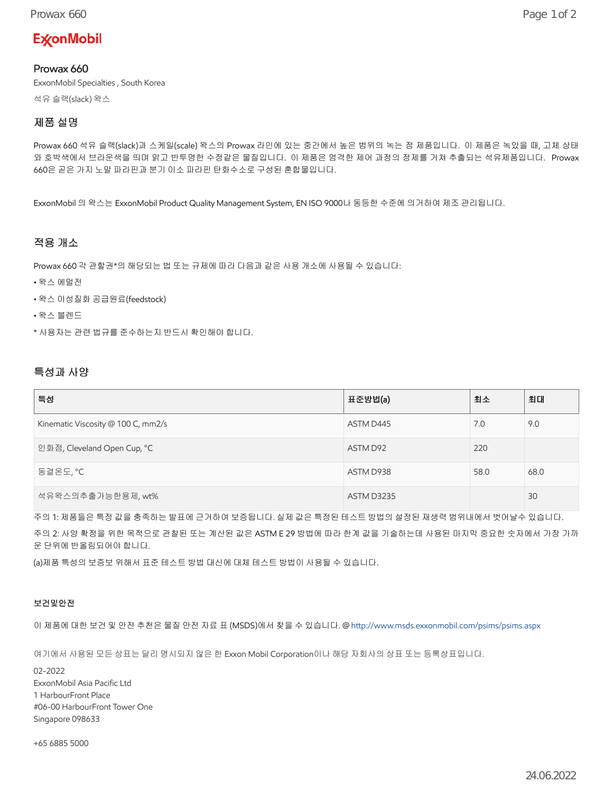# **ExconMobil**

### Prowax 660

ExxonMobil Specialties , South Korea

석유 슬랙(slack) 왁스

## 제품 설명

Prowax 660 석유 슬랙(slack)과 스케일(scale) 왁스의 Prowax 라인에 있는 중간에서 높은 범위의 녹는 점 제품입니다. 이 제품은 녹았을 때, 고체 상태 와 호박색에서 브라운색을 띄며 맑고 반투명한 수정같은 물질입니다. 이 제품은 엄격한 제어 과정의 정제를 거쳐 추출되는 석유제품입니다. Prowax 660은 곧은 가지 노말 파라핀과 분기 이소 파라핀 탄화수소로 구성된 혼합물입니다.

ExxonMobil 의 왁스는 ExxonMobil Product Quality Management System, EN ISO 9000나 동등한 수준에 의거하여 제조 관리됩니다.

### 적용 개소

Prowax 660 각 관할권\*의 해당되는 법 또는 규제에 따라 다음과 같은 사용 개소에 사용될 수 있습니다:

- 왁스 에멀전
- 왁스 이성질화 공급원료(feedstock)
- 왁스 블렌드

\* 사용자는 관련 법규를 준수하는지 반드시 확인해야 합니다.

#### 특성과 사양

| 특성                                 | 표준방법(a)           | 최소   | 최대   |
|------------------------------------|-------------------|------|------|
| Kinematic Viscosity @ 100 C, mm2/s | ASTM D445         | 7.0  | 9.0  |
| 인화점, Cleveland Open Cup, °C        | ASTM D92          | 220  |      |
| 동결온도, ℃                            | ASTM D938         | 58.0 | 68.0 |
| 석유왁스의추출가능한용제, wt%                  | <b>ASTM D3235</b> |      | 30   |

주의 1: 제품들은 특정 값을 충족하는 발표에 근거하여 보증됩니다. 실제 값은 특정된 테스트 방법의 설정된 재생력 범위내에서 벗어날수 있습니다. 주의 2: 사양 확정을 위한 목적으로 관찰된 또는 계산된 값은 ASTM E 29 방법에 따라 한계 값을 기술하는데 사용된 마지막 중요한 숫자에서 가장 가까 운 단위에 반올림되어야 합니다.

(a)제품 특성의 보증보 위해서 표준 테스트 방법 대신에 대체 테스트 방법이 사용될 수 있습니다.

#### 보건및안전

이 제품에 대한 보건 및 안전 추천은 물질 안전 자료 표 (MSDS)에서 찾을 수 있습니다. @<http://www.msds.exxonmobil.com/psims/psims.aspx>

여기에서 사용된 모든 상표는 달리 명시되지 않은 한 Exxon Mobil Corporation이나 해당 자회사의 상표 또는 등록상표입니다.

02-2022 ExxonMobil Asia Pacific Ltd 1 HarbourFront Place #06-00 HarbourFront Tower One Singapore 098633

+65 6885 5000